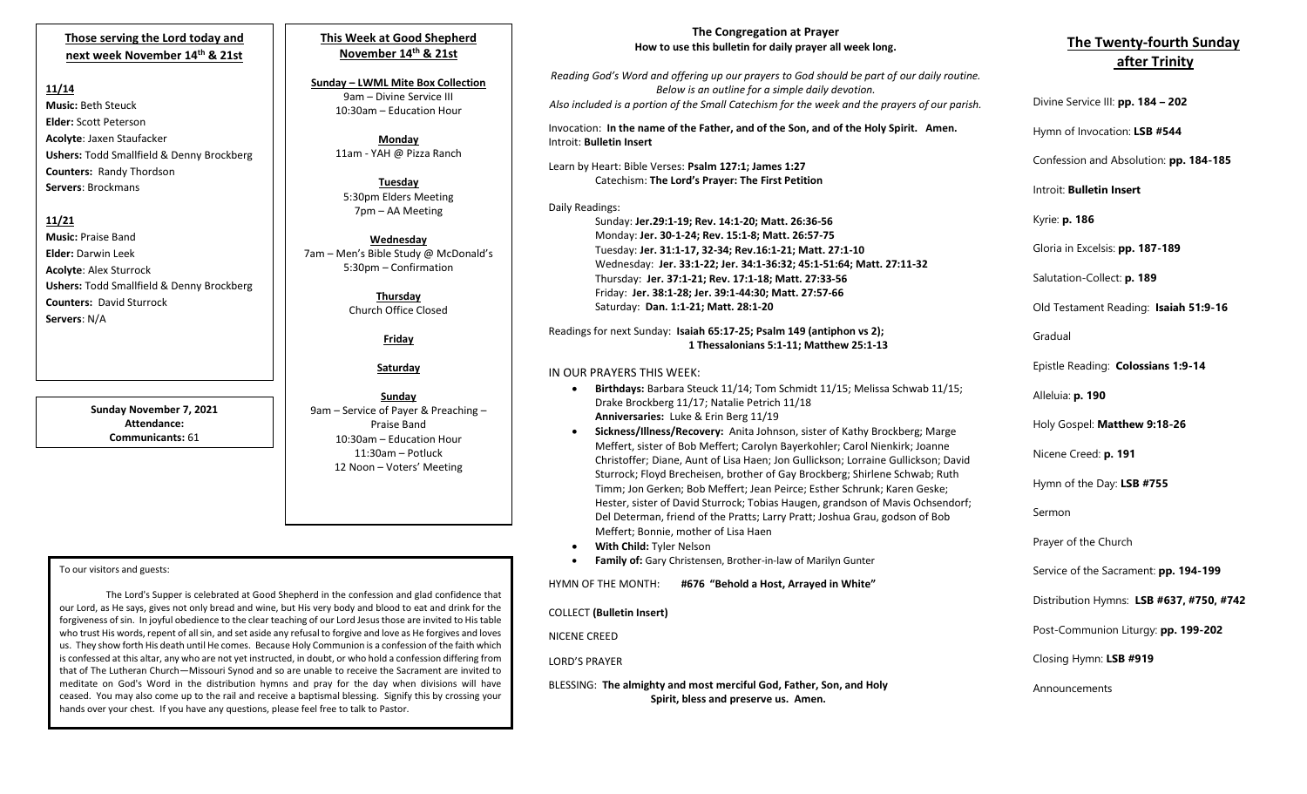# **Those serving the Lord today and next week November 14th & 21st**

#### **11/14**

**Music:** Beth Steuck **Elder:** Scott Peterson **Acolyte**: Jaxen Staufacker **Ushers:** Todd Smallfield & Denny Brockberg **Counters:** Randy Thordson **Servers**: Brockmans

### **11/21**

**Music:** Praise Band **Elder:** Darwin Leek **Acolyte**: Alex Sturrock **Ushers:** Todd Smallfield & Denny Brockberg **Counters:** David Sturrock **Servers**: N/A

> **Sunday November 7, 2021 Attendance: Communicants:** 61

# **This Week at Good Shepherd November 14th & 21st**

**Sunday – LWML Mite Box Collection** 9am – Divine Service III 10:30am – Education Hour

> **Monday** 11am - YAH @ Pizza Ranch

**Tuesday** 5:30pm Elders Meeting 7pm – AA Meeting

**Wednesday** 7am – Men's Bible Study @ McDonald's 5:30pm – Confirmation

> **Thursday** Church Office Closed

> > **Friday**

#### **Saturday**

**Sunday** 9am – Service of Payer & Preaching – Praise Band 10:30am – Education Hour 11:30am – Potluck 12 Noon – Voters' Meeting

#### To our visitors and guests:

 that of The Lutheran Church—Missouri Synod and so are unable to receive the Sacrament are invited to The Lord's Supper is celebrated at Good Shepherd in the confession and glad confidence that our Lord, as He says, gives not only bread and wine, but His very body and blood to eat and drink for the forgiveness of sin. In joyful obedience to the clear teaching of our Lord Jesus those are invited to His table who trust His words, repent of all sin, and set aside any refusal to forgive and love as He forgives and loves us. They show forth His death until He comes. Because Holy Communion is a confession of the faith which is confessed at this altar, any who are not yet instructed, in doubt, or who hold a confession differing from meditate on God's Word in the distribution hymns and pray for the day when divisions will have ceased. You may also come up to the rail and receive a baptismal blessing. Signify this by crossing your hands over your chest. If you have any questions, please feel free to talk to Pastor.

## **The Congregation at Prayer How to use this bulletin for daily prayer all week long.**

*Reading God's Word and offering up our prayers to God should be part of our daily routine. Below is an outline for a simple daily devotion. Also included is a portion of the Small Catechism for the week and the prayers of our parish.*

Invocation: **In the name of the Father, and of the Son, and of the Holy Spirit. Amen.** Introit: **Bulletin Insert**

Learn by Heart: Bible Verses: **Psalm 127:1; James 1:27** Catechism: **The Lord's Prayer: The First Petition**

### Daily Readings:

Sunday: **Jer.29:1-19; Rev. 14:1-20; Matt. 26:36-56** Monday: **Jer. 30-1-24; Rev. 15:1-8; Matt. 26:57-75** Tuesday: **Jer. 31:1-17, 32-34; Rev.16:1-21; Matt. 27:1-10** Wednesday: **Jer. 33:1-22; Jer. 34:1-36:32; 45:1-51:64; Matt. 27:11-32** Thursday: **Jer. 37:1-21; Rev. 17:1-18; Matt. 27:33-56** Friday: **Jer. 38:1-28; Jer. 39:1-44:30; Matt. 27:57-66** Saturday: **Dan. 1:1-21; Matt. 28:1-20**

Readings for next Sunday: **Isaiah 65:17-25; Psalm 149 (antiphon vs 2); 1 Thessalonians 5:1-11; Matthew 25:1-13**

### IN OUR PRAYERS THIS WEEK:

- **Birthdays:** Barbara Steuck 11/14; Tom Schmidt 11/15; Melissa Schwab 11/15; Drake Brockberg 11/17; Natalie Petrich 11/18 **Anniversaries:** Luke & Erin Berg 11/19
- **Sickness/Illness/Recovery:** Anita Johnson, sister of Kathy Brockberg; Marge Meffert, sister of Bob Meffert; Carolyn Bayerkohler; Carol Nienkirk; Joanne Christoffer; Diane, Aunt of Lisa Haen; Jon Gullickson; Lorraine Gullickson; David Sturrock; Floyd Brecheisen, brother of Gay Brockberg; Shirlene Schwab; Ruth Timm; Jon Gerken; Bob Meffert; Jean Peirce; Esther Schrunk; Karen Geske; Hester, sister of David Sturrock; Tobias Haugen, grandson of Mavis Ochsendorf; Del Determan, friend of the Pratts; Larry Pratt; Joshua Grau, godson of Bob Meffert; Bonnie, mother of Lisa Haen
- **With Child:** Tyler Nelson
- **Family of:** Gary Christensen, Brother-in-law of Marilyn Gunter

HYMN OF THE MONTH: **#676 "Behold a Host, Arrayed in White"**

COLLECT **(Bulletin Insert)**

NICENE CREED

LORD'S PRAYER

BLESSING: **The almighty and most merciful God, Father, Son, and Holy Spirit, bless and preserve us. Amen.**

# **The Twenty-fourth Sunday after Trinity**

Divine Service III: **pp. 184 – 202**

Hymn of Invocation: **LSB #544**

Confession and Absolution: **pp. 184-185**

Introit: **Bulletin Insert** 

Kyrie: **p. 186**

Gloria in Excelsis: **pp. 187-189**

Salutation-Collect: **p. 189**

Old Testament Reading: **Isaiah 51:9-16**

Gradual

Epistle Reading: **Colossians 1:9-14**

Alleluia: **p. 190**

Holy Gospel: **Matthew 9:18-26**

Nicene Creed: **p. 191**

Hymn of the Day: **LSB #755**

Sermon

Prayer of the Church

Service of the Sacrament: **pp. 194-199**

Distribution Hymns: **LSB #637, #750, #742**

Post-Communion Liturgy: **pp. 199-202** 

Closing Hymn: **LSB #919**

Announcements